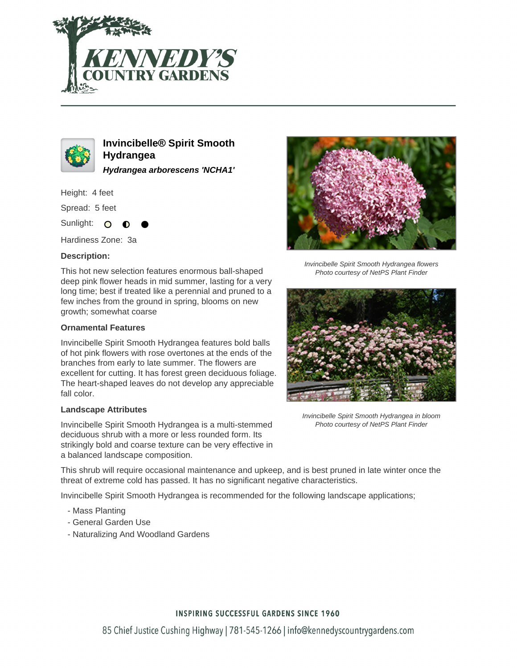



**Invincibelle® Spirit Smooth Hydrangea Hydrangea arborescens 'NCHA1'**

Height: 4 feet

Spread: 5 feet

Sunlight: O

Hardiness Zone: 3a

### **Description:**

This hot new selection features enormous ball-shaped deep pink flower heads in mid summer, lasting for a very long time; best if treated like a perennial and pruned to a few inches from the ground in spring, blooms on new growth; somewhat coarse

#### **Ornamental Features**

Invincibelle Spirit Smooth Hydrangea features bold balls of hot pink flowers with rose overtones at the ends of the branches from early to late summer. The flowers are excellent for cutting. It has forest green deciduous foliage. The heart-shaped leaves do not develop any appreciable fall color.

#### **Landscape Attributes**

Invincibelle Spirit Smooth Hydrangea is a multi-stemmed deciduous shrub with a more or less rounded form. Its strikingly bold and coarse texture can be very effective in a balanced landscape composition.

This shrub will require occasional maintenance and upkeep, and is best pruned in late winter once the threat of extreme cold has passed. It has no significant negative characteristics.

Invincibelle Spirit Smooth Hydrangea is recommended for the following landscape applications;

- Mass Planting
- General Garden Use
- Naturalizing And Woodland Gardens



Invincibelle Spirit Smooth Hydrangea flowers Photo courtesy of NetPS Plant Finder



Invincibelle Spirit Smooth Hydrangea in bloom Photo courtesy of NetPS Plant Finder

## **INSPIRING SUCCESSFUL GARDENS SINCE 1960**

85 Chief Justice Cushing Highway | 781-545-1266 | info@kennedyscountrygardens.com